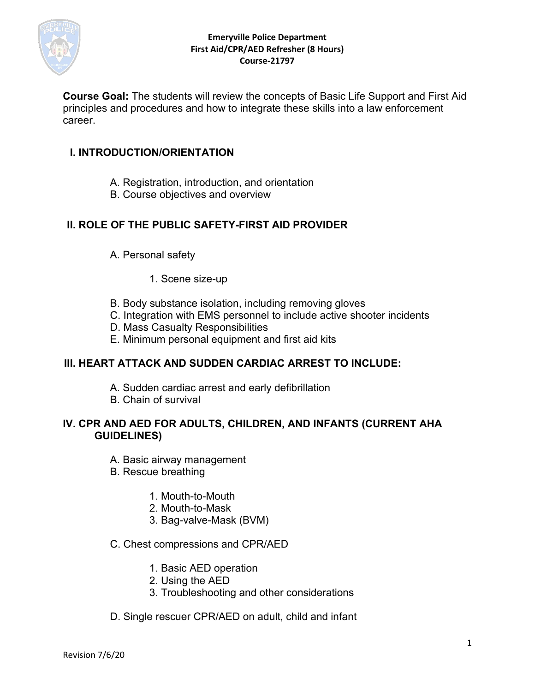

**Course Goal:** The students will review the concepts of Basic Life Support and First Aid principles and procedures and how to integrate these skills into a law enforcement career.

## **I. INTRODUCTION/ORIENTATION**

- A. Registration, introduction, and orientation
- B. Course objectives and overview

# **II. ROLE OF THE PUBLIC SAFETY-FIRST AID PROVIDER**

- A. Personal safety
	- 1. Scene size-up
- B. Body substance isolation, including removing gloves
- C. Integration with EMS personnel to include active shooter incidents
- D. Mass Casualty Responsibilities
- E. Minimum personal equipment and first aid kits

# **III. HEART ATTACK AND SUDDEN CARDIAC ARREST TO INCLUDE:**

- A. Sudden cardiac arrest and early defibrillation
- B. Chain of survival

# **IV. CPR AND AED FOR ADULTS, CHILDREN, AND INFANTS (CURRENT AHA GUIDELINES)**

- A. Basic airway management
- B. Rescue breathing
	- 1. Mouth-to-Mouth
	- 2. Mouth-to-Mask
	- 3. Bag-valve-Mask (BVM)

## C. Chest compressions and CPR/AED

- 1. Basic AED operation
- 2. Using the AED
- 3. Troubleshooting and other considerations
- D. Single rescuer CPR/AED on adult, child and infant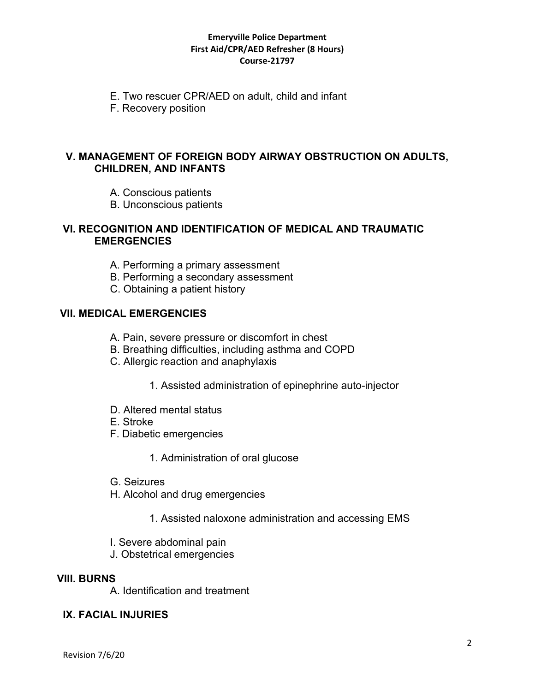- E. Two rescuer CPR/AED on adult, child and infant
- F. Recovery position

## **V. MANAGEMENT OF FOREIGN BODY AIRWAY OBSTRUCTION ON ADULTS, CHILDREN, AND INFANTS**

- A. Conscious patients
- B. Unconscious patients

### **VI. RECOGNITION AND IDENTIFICATION OF MEDICAL AND TRAUMATIC EMERGENCIES**

- A. Performing a primary assessment
- B. Performing a secondary assessment
- C. Obtaining a patient history

## **VII. MEDICAL EMERGENCIES**

- A. Pain, severe pressure or discomfort in chest
- B. Breathing difficulties, including asthma and COPD
- C. Allergic reaction and anaphylaxis
	- 1. Assisted administration of epinephrine auto-injector
- D. Altered mental status
- E. Stroke
- F. Diabetic emergencies
	- 1. Administration of oral glucose
- G. Seizures
- H. Alcohol and drug emergencies
	- 1. Assisted naloxone administration and accessing EMS
- I. Severe abdominal pain
- J. Obstetrical emergencies

## **VIII. BURNS**

A. Identification and treatment

### **IX. FACIAL INJURIES**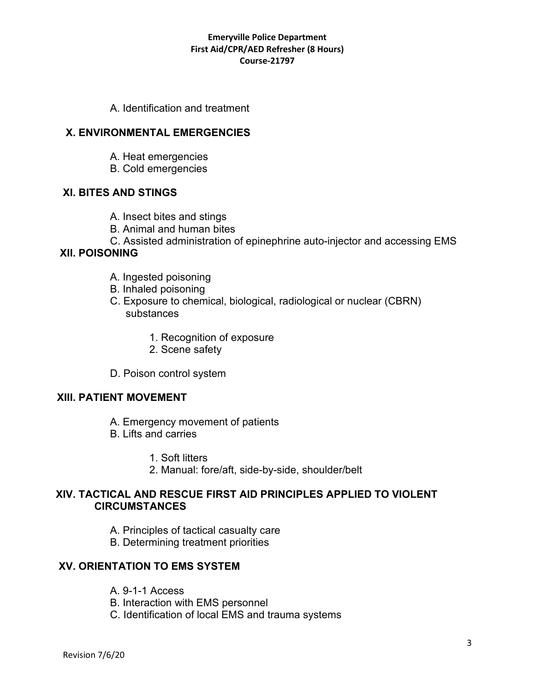A. Identification and treatment

## **X. ENVIRONMENTAL EMERGENCIES**

- A. Heat emergencies
- B. Cold emergencies

## **XI. BITES AND STINGS**

- A. Insect bites and stings
- B. Animal and human bites
- C. Assisted administration of epinephrine auto-injector and accessing EMS

### **XII. POISONING**

- A. Ingested poisoning
- B. Inhaled poisoning
- C. Exposure to chemical, biological, radiological or nuclear (CBRN) substances
	- 1. Recognition of exposure
	- 2. Scene safety
- D. Poison control system

### **XIII. PATIENT MOVEMENT**

- A. Emergency movement of patients
- B. Lifts and carries
	- 1. Soft litters
	- 2. Manual: fore/aft, side-by-side, shoulder/belt

### **XIV. TACTICAL AND RESCUE FIRST AID PRINCIPLES APPLIED TO VIOLENT CIRCUMSTANCES**

- A. Principles of tactical casualty care
- B. Determining treatment priorities

## **XV. ORIENTATION TO EMS SYSTEM**

- A. 9-1-1 Access
- B. Interaction with EMS personnel
- C. Identification of local EMS and trauma systems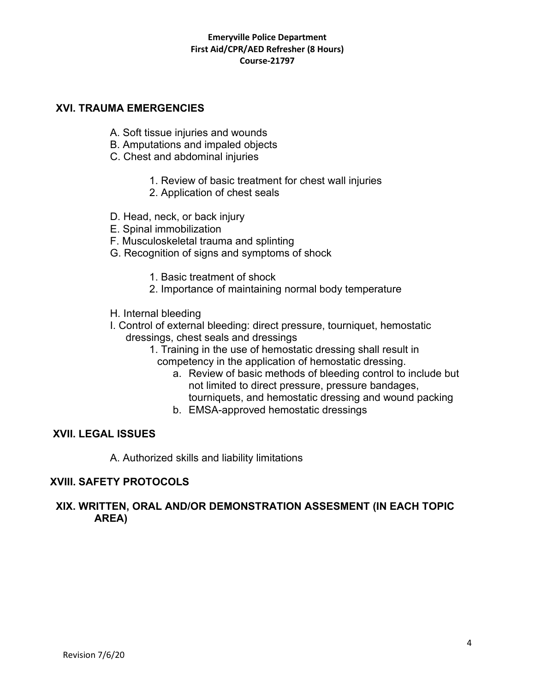### **XVI. TRAUMA EMERGENCIES**

- A. Soft tissue injuries and wounds
- B. Amputations and impaled objects
- C. Chest and abdominal injuries
	- 1. Review of basic treatment for chest wall injuries
	- 2. Application of chest seals
- D. Head, neck, or back injury
- E. Spinal immobilization
- F. Musculoskeletal trauma and splinting
- G. Recognition of signs and symptoms of shock
	- 1. Basic treatment of shock
	- 2. Importance of maintaining normal body temperature
- H. Internal bleeding
- I. Control of external bleeding: direct pressure, tourniquet, hemostatic dressings, chest seals and dressings
	- 1. Training in the use of hemostatic dressing shall result in competency in the application of hemostatic dressing.
		- a. Review of basic methods of bleeding control to include but not limited to direct pressure, pressure bandages, tourniquets, and hemostatic dressing and wound packing
		- b. EMSA-approved hemostatic dressings

## **XVII. LEGAL ISSUES**

A. Authorized skills and liability limitations

## **XVIII. SAFETY PROTOCOLS**

## **XIX. WRITTEN, ORAL AND/OR DEMONSTRATION ASSESMENT (IN EACH TOPIC AREA)**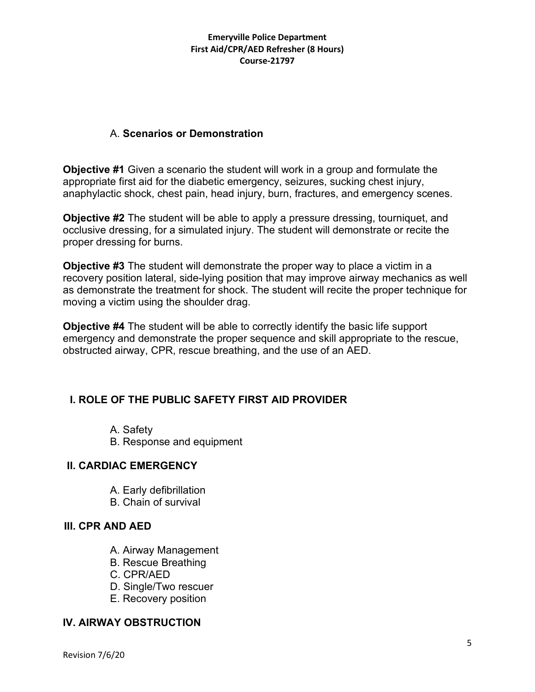# A. **Scenarios or Demonstration**

**Objective #1** Given a scenario the student will work in a group and formulate the appropriate first aid for the diabetic emergency, seizures, sucking chest injury, anaphylactic shock, chest pain, head injury, burn, fractures, and emergency scenes.

**Objective #2** The student will be able to apply a pressure dressing, tourniquet, and occlusive dressing, for a simulated injury. The student will demonstrate or recite the proper dressing for burns.

**Objective #3** The student will demonstrate the proper way to place a victim in a recovery position lateral, side-lying position that may improve airway mechanics as well as demonstrate the treatment for shock. The student will recite the proper technique for moving a victim using the shoulder drag.

**Objective #4** The student will be able to correctly identify the basic life support emergency and demonstrate the proper sequence and skill appropriate to the rescue, obstructed airway, CPR, rescue breathing, and the use of an AED.

# **I. ROLE OF THE PUBLIC SAFETY FIRST AID PROVIDER**

- A. Safety
- B. Response and equipment

## **II. CARDIAC EMERGENCY**

- A. Early defibrillation
- B. Chain of survival

## **III. CPR AND AED**

- A. Airway Management
- B. Rescue Breathing
- C. CPR/AED
- D. Single/Two rescuer
- E. Recovery position

## **IV. AIRWAY OBSTRUCTION**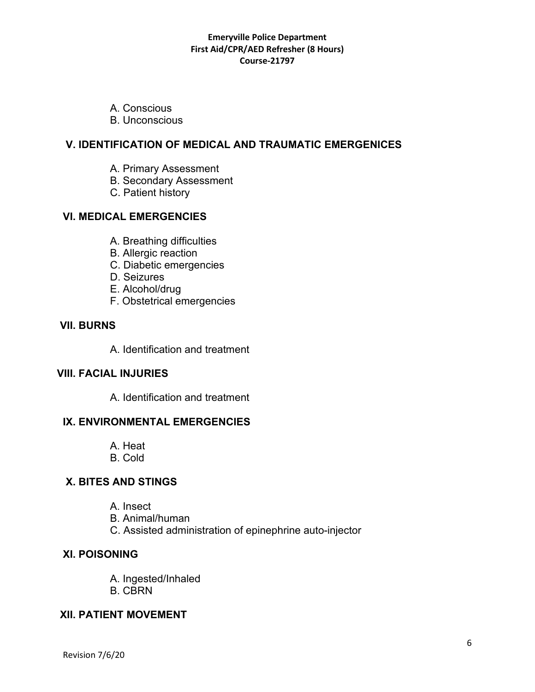- A. Conscious
- B. Unconscious

## **V. IDENTIFICATION OF MEDICAL AND TRAUMATIC EMERGENICES**

- A. Primary Assessment
- B. Secondary Assessment
- C. Patient history

## **VI. MEDICAL EMERGENCIES**

- A. Breathing difficulties
- B. Allergic reaction
- C. Diabetic emergencies
- D. Seizures
- E. Alcohol/drug
- F. Obstetrical emergencies

## **VII. BURNS**

A. Identification and treatment

### **VIII. FACIAL INJURIES**

A. Identification and treatment

## **IX. ENVIRONMENTAL EMERGENCIES**

- A. Heat
- B. Cold

# **X. BITES AND STINGS**

- A. Insect
- B. Animal/human
- C. Assisted administration of epinephrine auto-injector

## **XI. POISONING**

- A. Ingested/Inhaled
- B. CBRN

## **XII. PATIENT MOVEMENT**